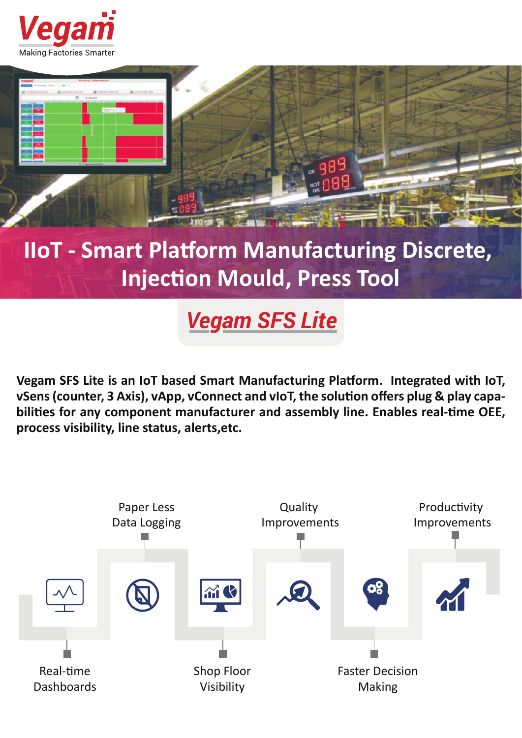



## **IIoT - Smart Platform Manufacturing Discrete, Injection Mould, Press Tool**

*Vegam SFS Lite*

Vegam SFS Lite is an IoT based Smart Manufacturing Platform. Integrated with IoT, vSens (counter, 3 Axis), vApp, vConnect and vIoT, the solution offers plug & play capabilities for any component manufacturer and assembly line. Enables real-time OEE, **process visibility, line status, alerts,etc.**